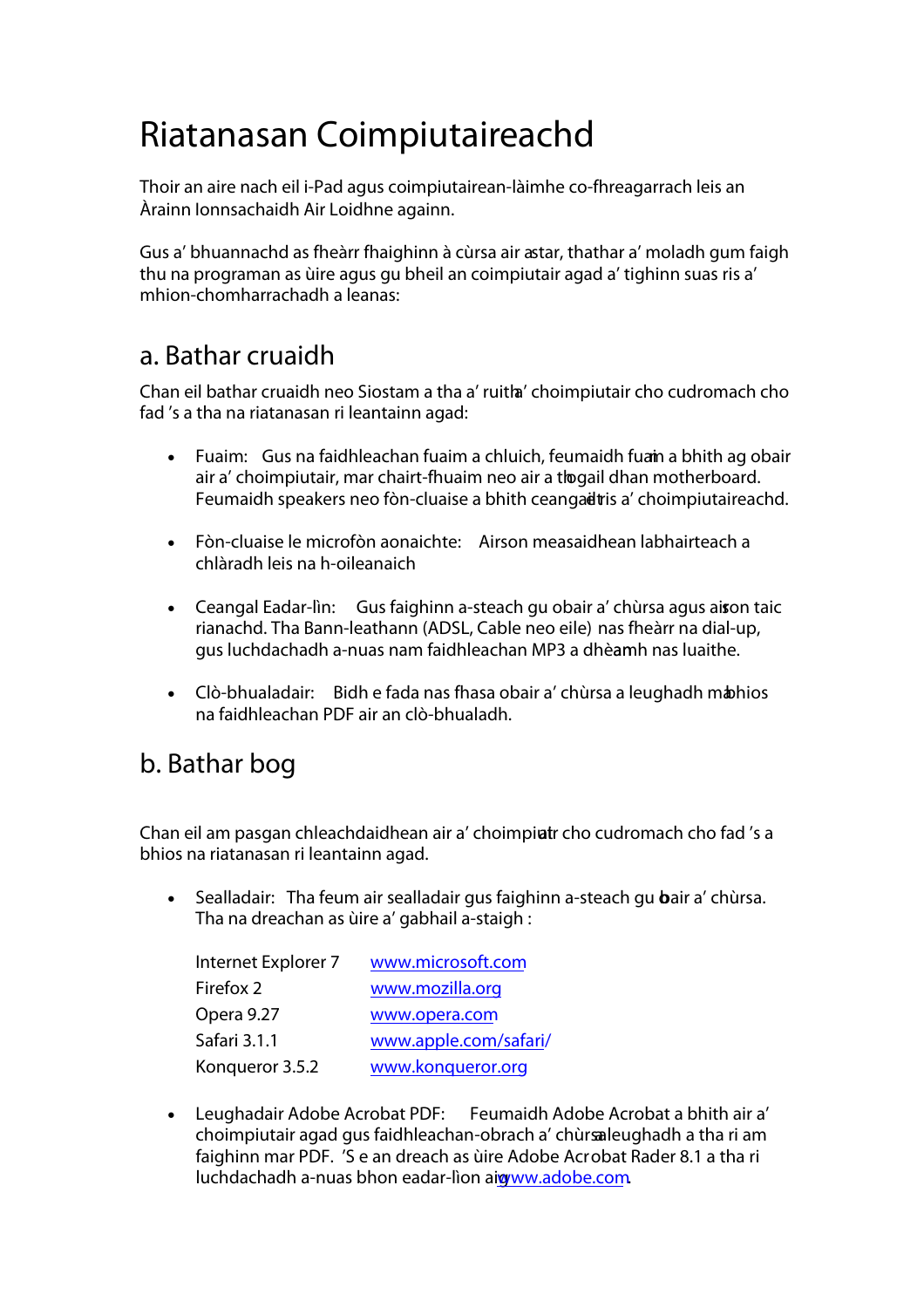## **Riatanasan Coimpiutaireachd**

Thoir an aire nach eil i-Pad agus coimpiutairean-làimhe co-fhreagarrach leis an Àrainn Ionnsachaidh Air Loidhne againn.

Gus a' bhuannachd as fheàrr fhaighinn à cùrsa air astar, thathar a' moladh gum faigh thu na programan as ùire agus gu bheil an coimpiutair agad a' tighinn suas ris a' mhion-chomharrachadh a leanas:

## **a. Bathar cruaidh**

Chan eil bathar cruaidh neo Siostam a tha a' ruitha' choimpiutair cho cudromach cho fad 's a tha na riatanasan ri leantainn agad:

- **Fuaim:** Gus na faidhleachan fuaim a chluich, feumaidh fuami a bhith ag obair air a' choimpiutair, mar chairt-fhuaim neo air a thogail dhan motherboard. Feumaidh speakers neo fòn-cluaise a bhith ceangait is a' choimpiutaireachd.
- **Fòn-cluaise le microfòn aonaichte:** Airson measaidhean labhairteach a chlàradh leis na h-oileanaich
- Ceangal Eadar-lìn: Gus faighinn a-steach gu obair a' chùrsa agus aison taic rianachd. Tha Bann-leathann (ADSL, Cable neo eile) nas fheàrr na dial-up, gus luchdachadh a-nuas nam faidhleachan MP3 a dhèamh nas luaithe.
- Clò-bhualadair: Bidh e fada nas fhasa obair a' chùrsa a leughadh m**a**bhios na faidhleachan PDF air an clò-bhualadh.

## **b. Bathar bog**

Chan eil am pasgan chleachdaidhean air a' choimpiatr cho cudromach cho fad 's a bhios na riatanasan ri leantainn agad.

Sealladair: Tha feum air sealladair gus faighinn a-steach gu **b**air a' chùrsa. Tha na dreachan as ùire a' gabhail a-staigh :

| Internet Explorer 7 | www.microsoft.com     |
|---------------------|-----------------------|
| Firefox 2           | www.mozilla.org       |
| Opera 9.27          | www.opera.com         |
| Safari 3.1.1        | www.apple.com/safari/ |
| Konqueror 3.5.2     | www.konqueror.org     |

• **Leughadair Adobe Acrobat PDF:** Feumaidh Adobe Acrobat a bhith air a' choimpiutair agad gus faidhleachan-obrach a' chùrsaaleughadh a tha ri am faighinn mar PDF. 'S e an dreach as ùire Adobe Acrobat Rader 8.1 a tha ri luchdachadh a-nuas bhon eadar-lìon aigwww.adobe.com.